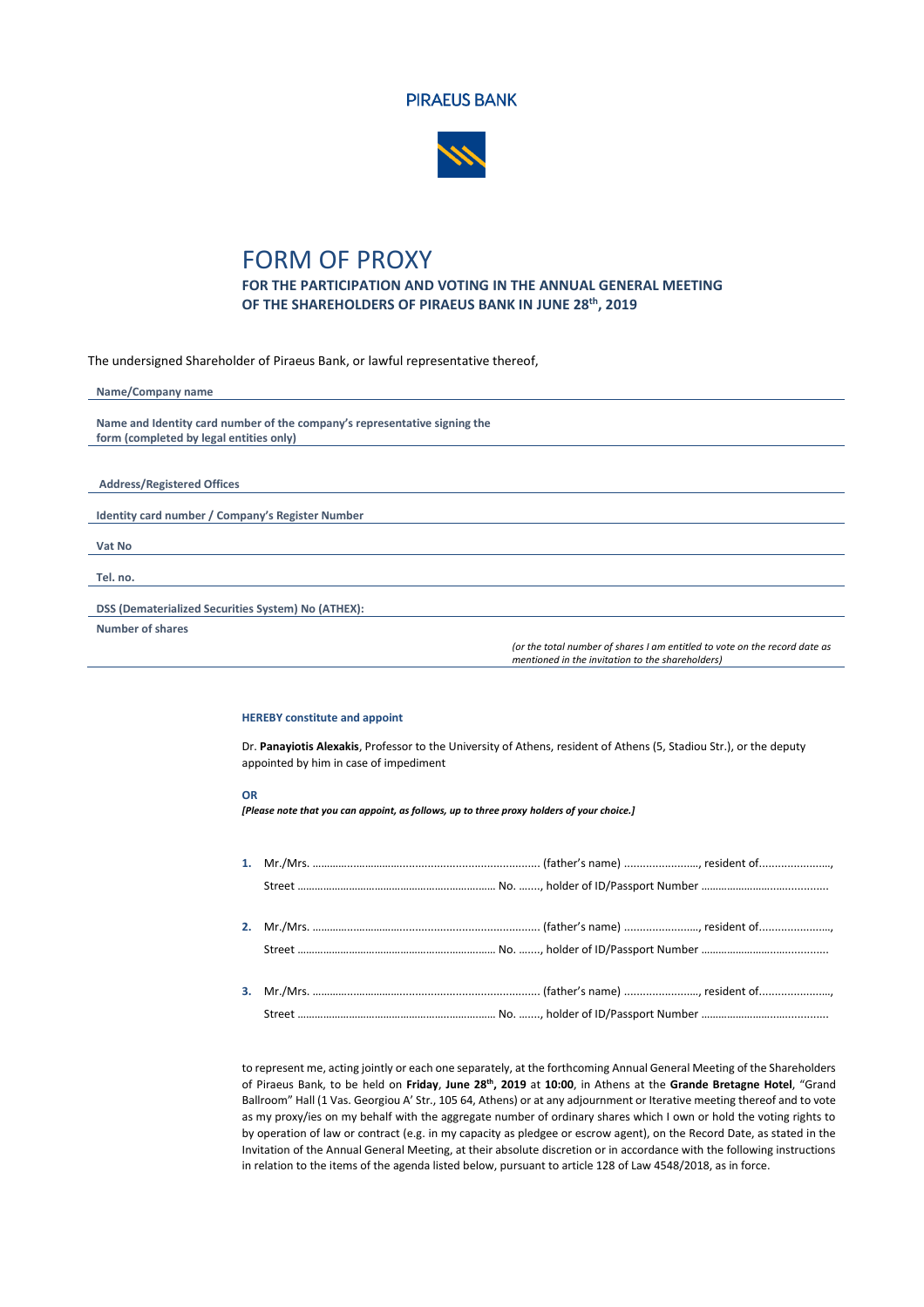



## FORM OF PROXY

**FOR THE PARTICIPATION AND VOTING IN THE ANNUAL GENERAL MEETING OF THE SHAREHOLDERS OF PIRAEUS BANK IN JUNE 28 th, 2019**

The undersigned Shareholder of Piraeus Bank, or lawful representative thereof,

| Name/Company name                                                         |
|---------------------------------------------------------------------------|
|                                                                           |
| Name and Identity card number of the company's representative signing the |
| form (completed by legal entities only)                                   |
|                                                                           |
|                                                                           |
| <b>Address/Registered Offices</b>                                         |
|                                                                           |
| Identity card number / Company's Register Number                          |
|                                                                           |
| Vat No                                                                    |
|                                                                           |
| Tel. no.                                                                  |
|                                                                           |
| DSS (Dematerialized Securities System) No (ATHEX):                        |
| <b>Number of shares</b>                                                   |

*(or the total number of shares I am entitled to vote on the record date as mentioned in the invitation to the shareholders)*

## **HEREBY constitute and appoint**

Dr. **Panayiotis Alexakis**, Professor to the University of Athens, resident of Athens (5, Stadiou Str.), or the deputy appointed by him in case of impediment

## **OR**

*[Please note that you can appoint, as follows, up to three proxy holders of your choice.]*

to represent me, acting jointly or each one separately, at the forthcoming Annual General Meeting of the Shareholders of Piraeus Bank, to be held on **Friday**, **June 28 th, 2019** at **10:00**, in Athens at the **Grande Bretagne Hotel**, "Grand Ballroom" Hall (1 Vas. Georgiou A' Str., 105 64, Athens) or at any adjournment or Iterative meeting thereof and to vote as my proxy/ies on my behalf with the aggregate number of ordinary shares which I own or hold the voting rights to by operation of law or contract (e.g. in my capacity as pledgee or escrow agent), on the Record Date, as stated in the Invitation of the Annual General Meeting, at their absolute discretion or in accordance with the following instructions in relation to the items of the agenda listed below, pursuant to article 128 of Law 4548/2018, as in force.